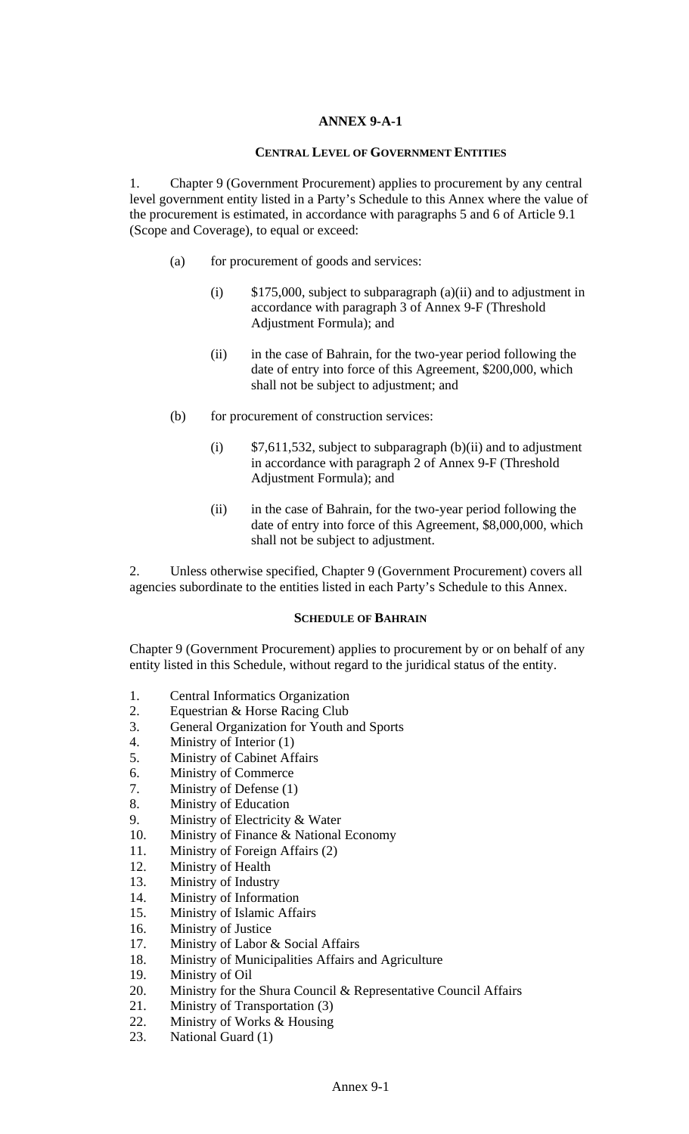#### **ANNEX 9-A-1**

#### **CENTRAL LEVEL OF GOVERNMENT ENTITIES**

1. Chapter 9 (Government Procurement) applies to procurement by any central level government entity listed in a Party's Schedule to this Annex where the value of the procurement is estimated, in accordance with paragraphs 5 and 6 of Article 9.1 (Scope and Coverage), to equal or exceed:

- (a) for procurement of goods and services:
	- (i) \$175,000, subject to subparagraph (a)(ii) and to adjustment in accordance with paragraph 3 of Annex 9-F (Threshold Adjustment Formula); and
	- (ii) in the case of Bahrain, for the two-year period following the date of entry into force of this Agreement, \$200,000, which shall not be subject to adjustment; and
- (b) for procurement of construction services:
	- (i)  $$7,611,532$ , subject to subparagraph (b)(ii) and to adjustment in accordance with paragraph 2 of Annex 9-F (Threshold Adjustment Formula); and
	- (ii) in the case of Bahrain, for the two-year period following the date of entry into force of this Agreement, \$8,000,000, which shall not be subject to adjustment.

2. Unless otherwise specified, Chapter 9 (Government Procurement) covers all agencies subordinate to the entities listed in each Party's Schedule to this Annex.

### **SCHEDULE OF BAHRAIN**

Chapter 9 (Government Procurement) applies to procurement by or on behalf of any entity listed in this Schedule, without regard to the juridical status of the entity.

- 1. Central Informatics Organization
- 2. Equestrian & Horse Racing Club
- 3. General Organization for Youth and Sports
- 4. Ministry of Interior (1)
- 5. Ministry of Cabinet Affairs
- 6. Ministry of Commerce
- 7. Ministry of Defense (1)
- 8. Ministry of Education
- 9. Ministry of Electricity & Water
- 10. Ministry of Finance & National Economy
- 11. Ministry of Foreign Affairs (2)
- 12. Ministry of Health
- 13. Ministry of Industry
- 14. Ministry of Information
- 15. Ministry of Islamic Affairs
- 16. Ministry of Justice
- 17. Ministry of Labor & Social Affairs
- 18. Ministry of Municipalities Affairs and Agriculture
- 19. Ministry of Oil
- 20. Ministry for the Shura Council & Representative Council Affairs
- 21. Ministry of Transportation (3)
- 22. Ministry of Works & Housing
- 23. National Guard (1)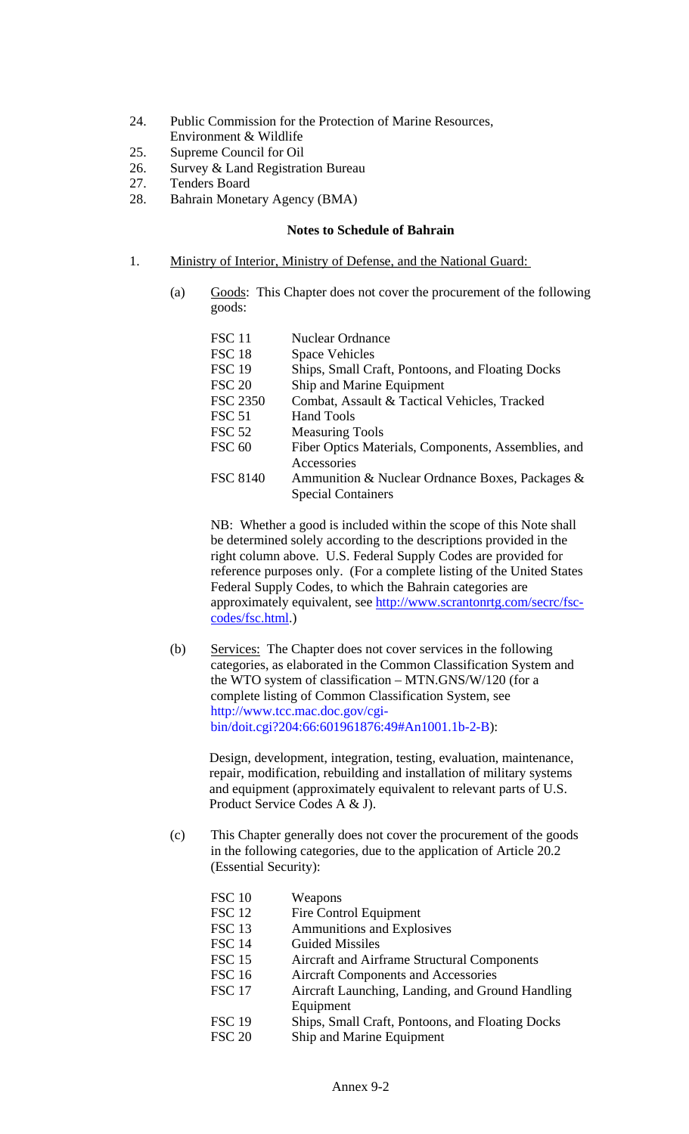- 24. Public Commission for the Protection of Marine Resources,
- Environment & Wildlife
- 25. Supreme Council for Oil
- 26. Survey & Land Registration Bureau
- 27. Tenders Board
- 28. Bahrain Monetary Agency (BMA)

## **Notes to Schedule of Bahrain**

- 1. Ministry of Interior, Ministry of Defense, and the National Guard:
	- (a) Goods: This Chapter does not cover the procurement of the following goods:

| <b>FSC 11</b>   | Nuclear Ordnance                                    |
|-----------------|-----------------------------------------------------|
| <b>FSC 18</b>   | <b>Space Vehicles</b>                               |
| <b>FSC 19</b>   | Ships, Small Craft, Pontoons, and Floating Docks    |
| <b>FSC 20</b>   | Ship and Marine Equipment                           |
| <b>FSC 2350</b> | Combat, Assault & Tactical Vehicles, Tracked        |
| <b>FSC 51</b>   | <b>Hand Tools</b>                                   |
| <b>FSC 52</b>   | <b>Measuring Tools</b>                              |
| <b>FSC 60</b>   | Fiber Optics Materials, Components, Assemblies, and |
|                 | Accessories                                         |
| <b>FSC 8140</b> | Ammunition & Nuclear Ordnance Boxes, Packages &     |
|                 | <b>Special Containers</b>                           |

NB: Whether a good is included within the scope of this Note shall be determined solely according to the descriptions provided in the right column above. U.S. Federal Supply Codes are provided for reference purposes only. (For a complete listing of the United States Federal Supply Codes, to which the Bahrain categories are approximately equivalent, see [http://www.scrantonrtg.com/secrc/fsc](http://www.scrantonrtg.com/secrc/fsc-codes/fsc.html)[codes/fsc.html.](http://www.scrantonrtg.com/secrc/fsc-codes/fsc.html))

(b) Services: The Chapter does not cover services in the following categories, as elaborated in the Common Classification System and the WTO system of classification – MTN.GNS/W/120 (for a complete listing of Common Classification System, see http://www.tcc.mac.doc.gov/cgibin/doit.cgi?204:66:601961876:49#An1001.1b-2-B):

Design, development, integration, testing, evaluation, maintenance, repair, modification, rebuilding and installation of military systems and equipment (approximately equivalent to relevant parts of U.S. Product Service Codes A & J).

(c) This Chapter generally does not cover the procurement of the goods in the following categories, due to the application of Article 20.2 (Essential Security):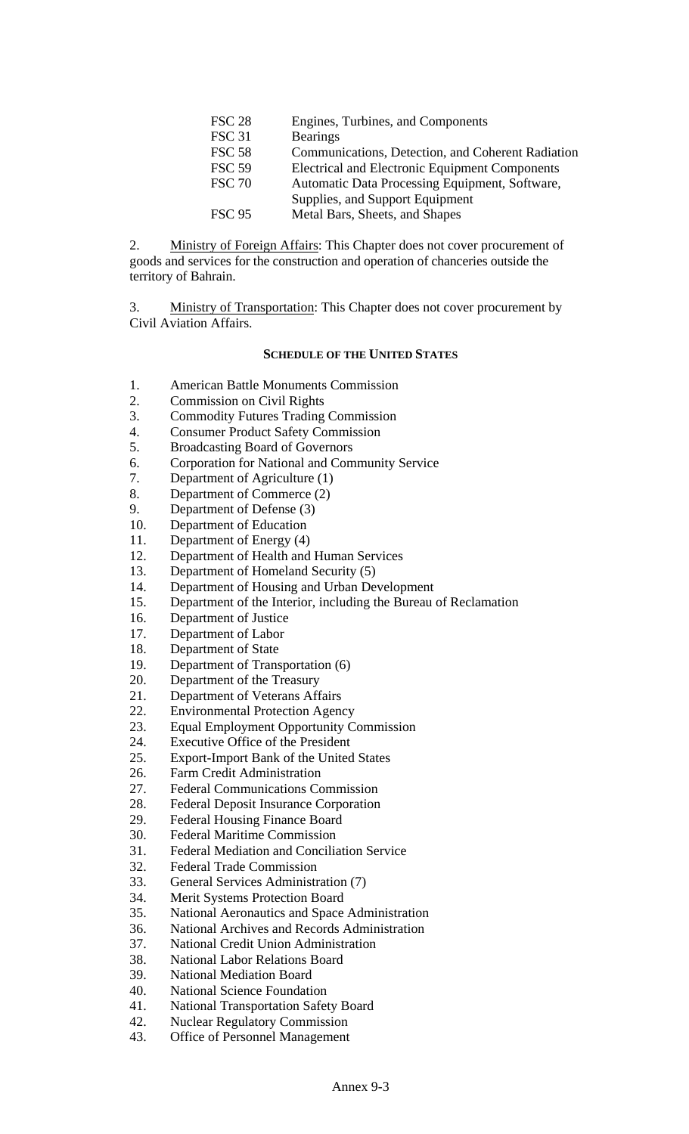| <b>FSC 28</b> | Engines, Turbines, and Components                     |
|---------------|-------------------------------------------------------|
| <b>FSC 31</b> | <b>Bearings</b>                                       |
| <b>FSC 58</b> | Communications, Detection, and Coherent Radiation     |
| <b>FSC 59</b> | <b>Electrical and Electronic Equipment Components</b> |
| <b>FSC 70</b> | Automatic Data Processing Equipment, Software,        |
|               | Supplies, and Support Equipment                       |
| <b>FSC 95</b> | Metal Bars, Sheets, and Shapes                        |
|               |                                                       |

2. Ministry of Foreign Affairs: This Chapter does not cover procurement of goods and services for the construction and operation of chanceries outside the territory of Bahrain.

3. Ministry of Transportation: This Chapter does not cover procurement by Civil Aviation Affairs.

#### **SCHEDULE OF THE UNITED STATES**

- 1. American Battle Monuments Commission
- 2. Commission on Civil Rights
- 3. Commodity Futures Trading Commission
- 4. Consumer Product Safety Commission
- 5. Broadcasting Board of Governors
- 6. Corporation for National and Community Service
- 7. Department of Agriculture (1)
- 8. Department of Commerce (2)
- 9. Department of Defense (3)
- 10. Department of Education
- 11. Department of Energy (4)
- 12. Department of Health and Human Services
- 13. Department of Homeland Security (5)
- 14. Department of Housing and Urban Development
- 15. Department of the Interior, including the Bureau of Reclamation
- 16. Department of Justice
- 17. Department of Labor
- 18. Department of State
- 19. Department of Transportation (6)
- 20. Department of the Treasury
- 21. Department of Veterans Affairs
- 22. Environmental Protection Agency
- 23. Equal Employment Opportunity Commission
- 24. Executive Office of the President
- 25. Export-Import Bank of the United States
- 26. Farm Credit Administration
- 27. Federal Communications Commission
- 28. Federal Deposit Insurance Corporation
- 29. Federal Housing Finance Board
- 30. Federal Maritime Commission
- 31. Federal Mediation and Conciliation Service
- 32. Federal Trade Commission
- 33. General Services Administration (7)
- 34. Merit Systems Protection Board
- 35. National Aeronautics and Space Administration
- 36. National Archives and Records Administration
- 37. National Credit Union Administration
- 38. National Labor Relations Board
- 39. National Mediation Board
- 40. National Science Foundation
- 41. National Transportation Safety Board
- 42. Nuclear Regulatory Commission
- 43. Office of Personnel Management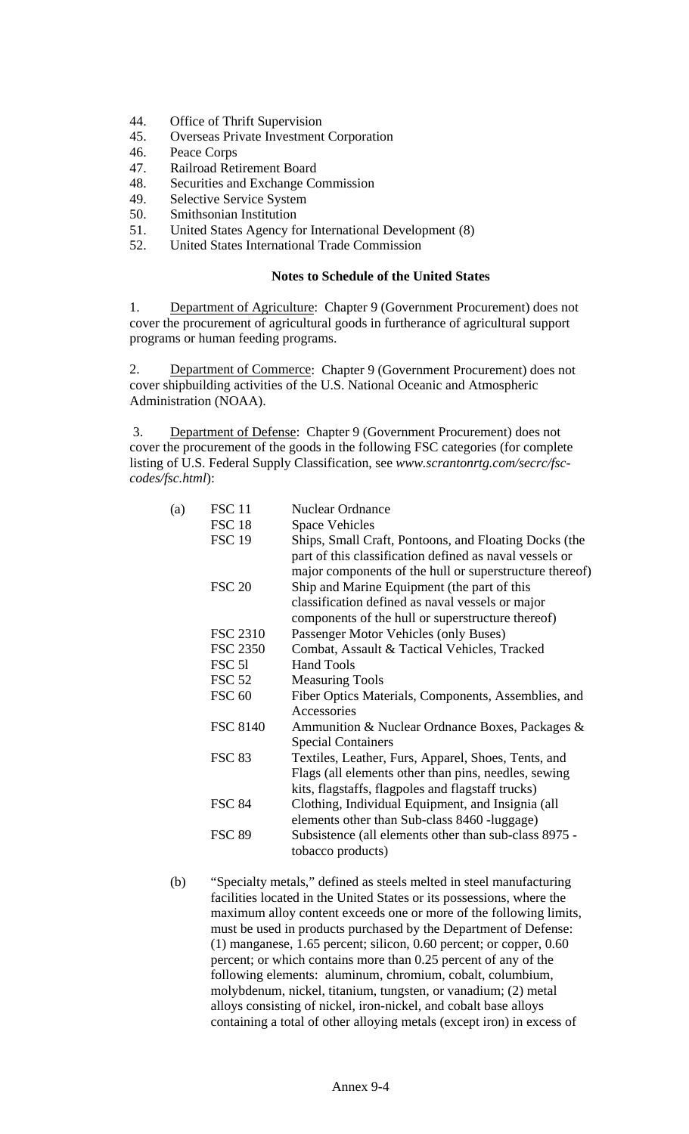- 44. Office of Thrift Supervision
- 45. Overseas Private Investment Corporation
- 46. Peace Corps
- 47. Railroad Retirement Board
- 48. Securities and Exchange Commission
- 49. Selective Service System
- 50. Smithsonian Institution
- 51. United States Agency for International Development (8)
- 52. United States International Trade Commission

#### **Notes to Schedule of the United States**

1. Department of Agriculture: Chapter 9 (Government Procurement) does not cover the procurement of agricultural goods in furtherance of agricultural support programs or human feeding programs.

2. Department of Commerce: Chapter 9 (Government Procurement) does not cover shipbuilding activities of the U.S. National Oceanic and Atmospheric Administration (NOAA).

 3. Department of Defense: Chapter 9 (Government Procurement) does not cover the procurement of the goods in the following FSC categories (for complete listing of U.S. Federal Supply Classification, see *www.scrantonrtg.com/secrc/fsccodes/fsc.html*):

| (a) | <b>FSC 11</b>     | <b>Nuclear Ordnance</b>                                 |
|-----|-------------------|---------------------------------------------------------|
|     | <b>FSC 18</b>     | <b>Space Vehicles</b>                                   |
|     | <b>FSC 19</b>     | Ships, Small Craft, Pontoons, and Floating Docks (the   |
|     |                   | part of this classification defined as naval vessels or |
|     |                   | major components of the hull or superstructure thereof) |
|     | <b>FSC 20</b>     | Ship and Marine Equipment (the part of this             |
|     |                   | classification defined as naval vessels or major        |
|     |                   | components of the hull or superstructure thereof)       |
|     | <b>FSC 2310</b>   | Passenger Motor Vehicles (only Buses)                   |
|     | <b>FSC 2350</b>   | Combat, Assault & Tactical Vehicles, Tracked            |
|     | FSC <sub>51</sub> | <b>Hand Tools</b>                                       |
|     | <b>FSC 52</b>     | <b>Measuring Tools</b>                                  |
|     | <b>FSC 60</b>     | Fiber Optics Materials, Components, Assemblies, and     |
|     |                   | Accessories                                             |
|     | <b>FSC 8140</b>   | Ammunition & Nuclear Ordnance Boxes, Packages &         |
|     |                   | <b>Special Containers</b>                               |
|     | <b>FSC 83</b>     | Textiles, Leather, Furs, Apparel, Shoes, Tents, and     |
|     |                   | Flags (all elements other than pins, needles, sewing    |
|     |                   | kits, flagstaffs, flagpoles and flagstaff trucks)       |
|     | <b>FSC 84</b>     | Clothing, Individual Equipment, and Insignia (all       |
|     |                   | elements other than Sub-class 8460 -luggage)            |
|     | <b>FSC 89</b>     | Subsistence (all elements other than sub-class 8975 -   |
|     |                   | tobacco products)                                       |
|     |                   |                                                         |

(b) "Specialty metals," defined as steels melted in steel manufacturing facilities located in the United States or its possessions, where the maximum alloy content exceeds one or more of the following limits, must be used in products purchased by the Department of Defense: (1) manganese, 1.65 percent; silicon, 0.60 percent; or copper, 0.60 percent; or which contains more than 0.25 percent of any of the following elements: aluminum, chromium, cobalt, columbium, molybdenum, nickel, titanium, tungsten, or vanadium; (2) metal alloys consisting of nickel, iron-nickel, and cobalt base alloys containing a total of other alloying metals (except iron) in excess of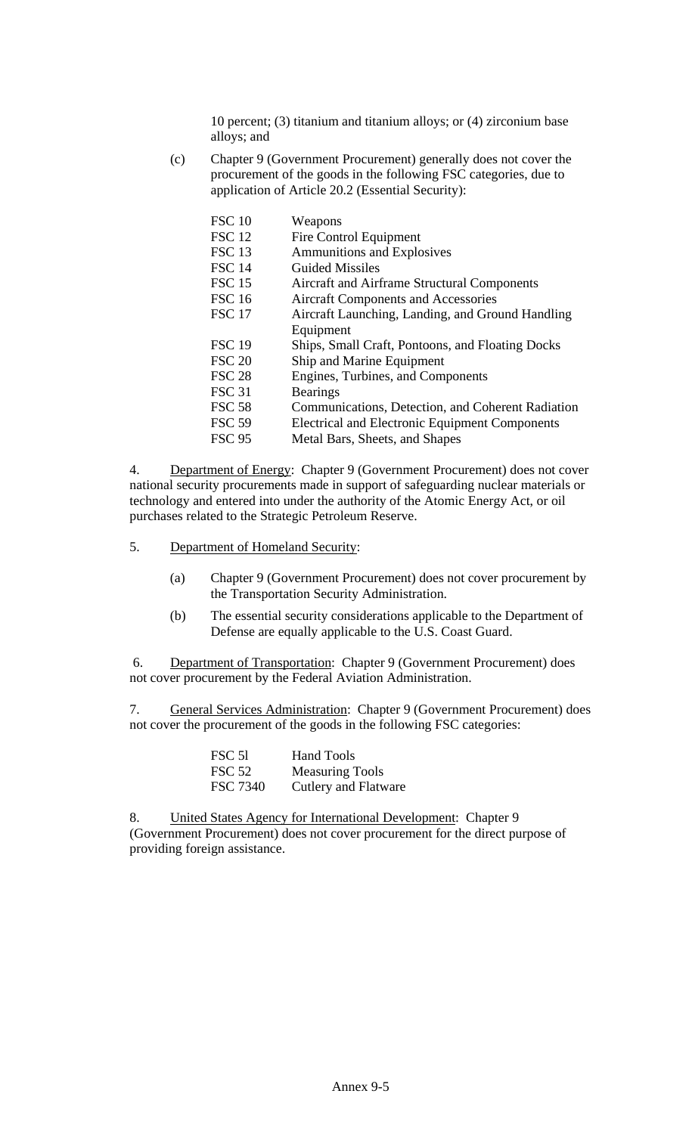10 percent; (3) titanium and titanium alloys; or (4) zirconium base alloys; and

(c) Chapter 9 (Government Procurement) generally does not cover the procurement of the goods in the following FSC categories, due to application of Article 20.2 (Essential Security):

| <b>FSC 10</b> | Weapons                                               |
|---------------|-------------------------------------------------------|
| <b>FSC 12</b> | Fire Control Equipment                                |
| <b>FSC 13</b> | <b>Ammunitions and Explosives</b>                     |
| <b>FSC 14</b> | <b>Guided Missiles</b>                                |
| <b>FSC 15</b> | Aircraft and Airframe Structural Components           |
| <b>FSC 16</b> | <b>Aircraft Components and Accessories</b>            |
| <b>FSC 17</b> | Aircraft Launching, Landing, and Ground Handling      |
|               | Equipment                                             |
| <b>FSC 19</b> | Ships, Small Craft, Pontoons, and Floating Docks      |
| <b>FSC 20</b> | Ship and Marine Equipment                             |
| <b>FSC 28</b> | Engines, Turbines, and Components                     |
| <b>FSC 31</b> | <b>Bearings</b>                                       |
| <b>FSC 58</b> | Communications, Detection, and Coherent Radiation     |
| <b>FSC 59</b> | <b>Electrical and Electronic Equipment Components</b> |
| <b>FSC 95</b> | Metal Bars, Sheets, and Shapes                        |
|               |                                                       |

4. Department of Energy: Chapter 9 (Government Procurement) does not cover national security procurements made in support of safeguarding nuclear materials or technology and entered into under the authority of the Atomic Energy Act, or oil purchases related to the Strategic Petroleum Reserve.

- 5. Department of Homeland Security:
	- (a) Chapter 9 (Government Procurement) does not cover procurement by the Transportation Security Administration.
	- (b) The essential security considerations applicable to the Department of Defense are equally applicable to the U.S. Coast Guard.

 6. Department of Transportation: Chapter 9 (Government Procurement) does not cover procurement by the Federal Aviation Administration.

7. General Services Administration: Chapter 9 (Government Procurement) does not cover the procurement of the goods in the following FSC categories:

| FSC 51          | <b>Hand Tools</b>      |
|-----------------|------------------------|
| <b>FSC 52</b>   | <b>Measuring Tools</b> |
| <b>FSC 7340</b> | Cutlery and Flatware   |

8. United States Agency for International Development: Chapter 9 (Government Procurement) does not cover procurement for the direct purpose of providing foreign assistance.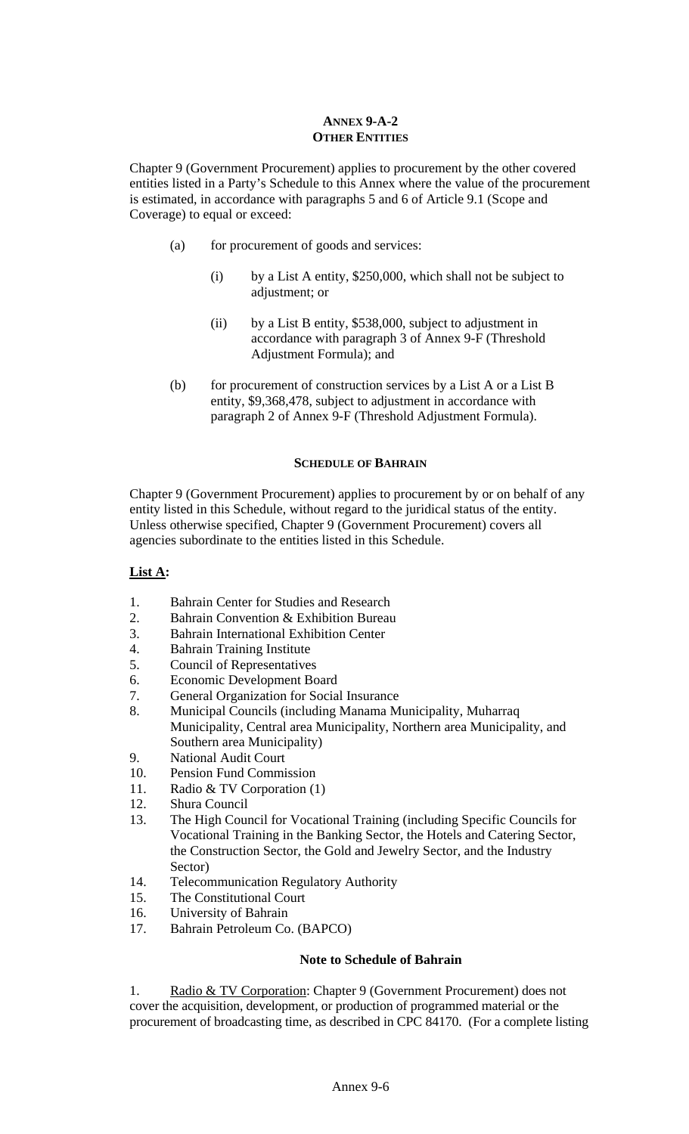## **ANNEX 9-A-2 OTHER ENTITIES**

Chapter 9 (Government Procurement) applies to procurement by the other covered entities listed in a Party's Schedule to this Annex where the value of the procurement is estimated, in accordance with paragraphs 5 and 6 of Article 9.1 (Scope and Coverage) to equal or exceed:

- (a) for procurement of goods and services:
	- (i) by a List A entity, \$250,000, which shall not be subject to adjustment; or
	- (ii) by a List B entity, \$538,000, subject to adjustment in accordance with paragraph 3 of Annex 9-F (Threshold Adjustment Formula); and
- (b) for procurement of construction services by a List A or a List B entity, \$9,368,478, subject to adjustment in accordance with paragraph 2 of Annex 9-F (Threshold Adjustment Formula).

## **SCHEDULE OF BAHRAIN**

Chapter 9 (Government Procurement) applies to procurement by or on behalf of any entity listed in this Schedule, without regard to the juridical status of the entity. Unless otherwise specified, Chapter 9 (Government Procurement) covers all agencies subordinate to the entities listed in this Schedule.

# **List A:**

- 1. Bahrain Center for Studies and Research
- 2. Bahrain Convention & Exhibition Bureau
- 3. Bahrain International Exhibition Center
- 4. Bahrain Training Institute
- 5. Council of Representatives
- 6. Economic Development Board
- 7. General Organization for Social Insurance
- 8. Municipal Councils (including Manama Municipality, Muharraq Municipality, Central area Municipality, Northern area Municipality, and Southern area Municipality)
- 9. National Audit Court
- 10. Pension Fund Commission
- 11. Radio & TV Corporation (1)
- 12. Shura Council
- 13. The High Council for Vocational Training (including Specific Councils for Vocational Training in the Banking Sector, the Hotels and Catering Sector, the Construction Sector, the Gold and Jewelry Sector, and the Industry Sector)
- 14. Telecommunication Regulatory Authority
- 15. The Constitutional Court
- 16. University of Bahrain
- 17. Bahrain Petroleum Co. (BAPCO)

### **Note to Schedule of Bahrain**

1. Radio & TV Corporation: Chapter 9 (Government Procurement) does not cover the acquisition, development, or production of programmed material or the procurement of broadcasting time, as described in CPC 84170. (For a complete listing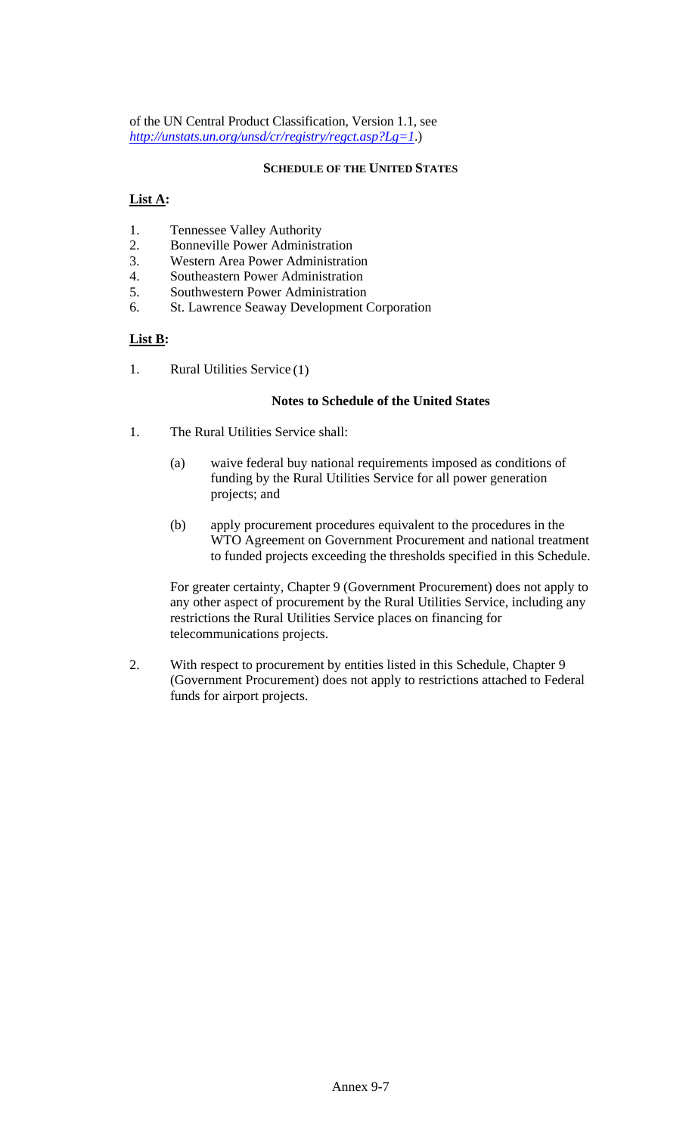of the UN Central Product Classification, Version 1.1, see *<http://unstats.un.org/unsd/cr/registry/regct.asp?Lg=1>*.)

## **SCHEDULE OF THE UNITED STATES**

# **List A:**

- 1. Tennessee Valley Authority
- 2. Bonneville Power Administration
- 3. Western Area Power Administration
- 4. Southeastern Power Administration
- 5. Southwestern Power Administration
- 6. St. Lawrence Seaway Development Corporation

# **List B:**

1. Rural Utilities Service (1)

### **Notes to Schedule of the United States**

- 1. The Rural Utilities Service shall:
	- (a) waive federal buy national requirements imposed as conditions of funding by the Rural Utilities Service for all power generation projects; and
	- (b) apply procurement procedures equivalent to the procedures in the WTO Agreement on Government Procurement and national treatment to funded projects exceeding the thresholds specified in this Schedule.

For greater certainty, Chapter 9 (Government Procurement) does not apply to any other aspect of procurement by the Rural Utilities Service, including any restrictions the Rural Utilities Service places on financing for telecommunications projects.

2. With respect to procurement by entities listed in this Schedule, Chapter 9 (Government Procurement) does not apply to restrictions attached to Federal funds for airport projects.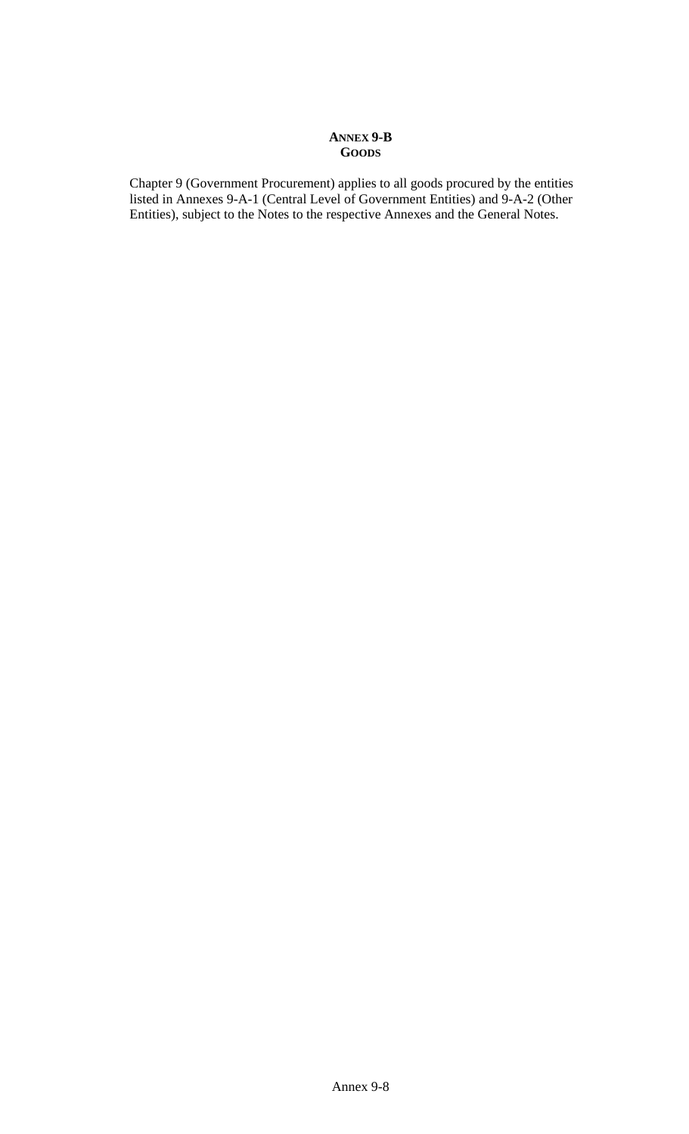### **ANNEX 9-B GOODS**

Chapter 9 (Government Procurement) applies to all goods procured by the entities listed in Annexes 9-A-1 (Central Level of Government Entities) and 9-A-2 (Other Entities), subject to the Notes to the respective Annexes and the General Notes.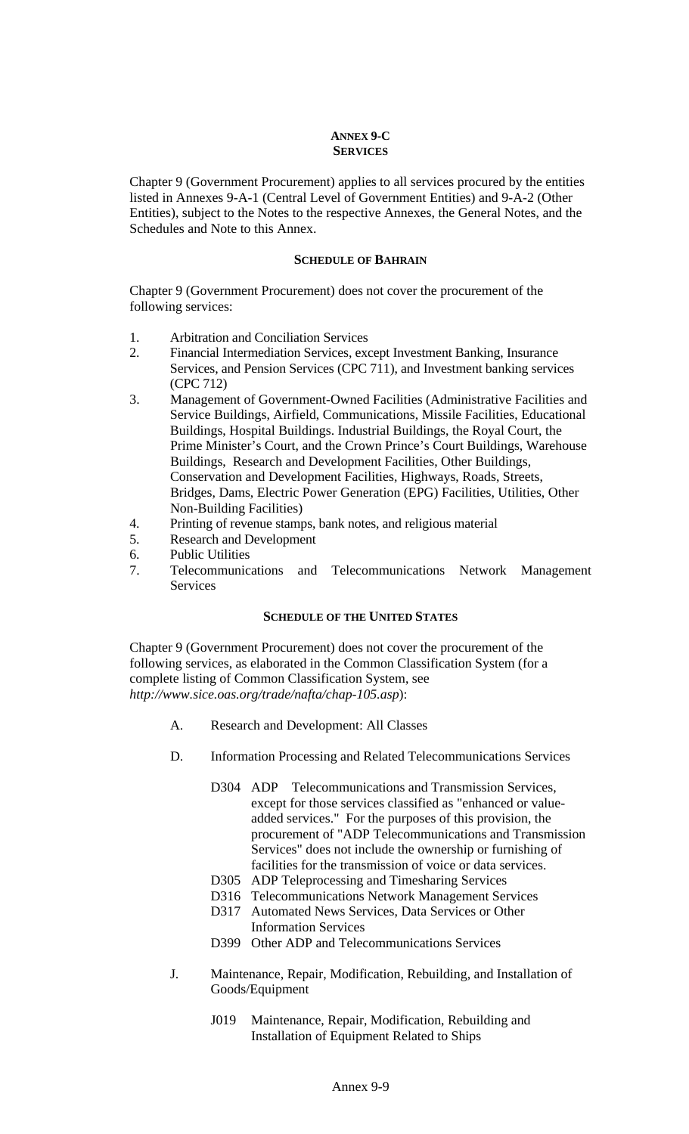# **ANNEX 9-C SERVICES**

Chapter 9 (Government Procurement) applies to all services procured by the entities listed in Annexes 9-A-1 (Central Level of Government Entities) and 9-A-2 (Other Entities), subject to the Notes to the respective Annexes, the General Notes, and the Schedules and Note to this Annex.

#### **SCHEDULE OF BAHRAIN**

Chapter 9 (Government Procurement) does not cover the procurement of the following services:

- 1. Arbitration and Conciliation Services
- 2. Financial Intermediation Services, except Investment Banking, Insurance Services, and Pension Services (CPC 711), and Investment banking services (CPC 712)
- 3. Management of Government-Owned Facilities (Administrative Facilities and Service Buildings, Airfield, Communications, Missile Facilities, Educational Buildings, Hospital Buildings. Industrial Buildings, the Royal Court, the Prime Minister's Court, and the Crown Prince's Court Buildings, Warehouse Buildings, Research and Development Facilities, Other Buildings, Conservation and Development Facilities, Highways, Roads, Streets, Bridges, Dams, Electric Power Generation (EPG) Facilities, Utilities, Other Non-Building Facilities)
- 4. Printing of revenue stamps, bank notes, and religious material
- 5. Research and Development
- 6. Public Utilities
- 7. Telecommunications and Telecommunications Network Management Services

### **SCHEDULE OF THE UNITED STATES**

Chapter 9 (Government Procurement) does not cover the procurement of the following services, as elaborated in the Common Classification System (for a complete listing of Common Classification System, see *http://www.sice.oas.org/trade/nafta/chap-105.asp*):

- A. Research and Development: All Classes
- D. Information Processing and Related Telecommunications Services
	- D304 ADP Telecommunications and Transmission Services, except for those services classified as "enhanced or valueadded services." For the purposes of this provision, the procurement of "ADP Telecommunications and Transmission Services" does not include the ownership or furnishing of facilities for the transmission of voice or data services.
	- D305 ADP Teleprocessing and Timesharing Services
	- D316 Telecommunications Network Management Services
	- D317 Automated News Services, Data Services or Other Information Services
	- D399 Other ADP and Telecommunications Services
- J. Maintenance, Repair, Modification, Rebuilding, and Installation of Goods/Equipment
	- J019 Maintenance, Repair, Modification, Rebuilding and Installation of Equipment Related to Ships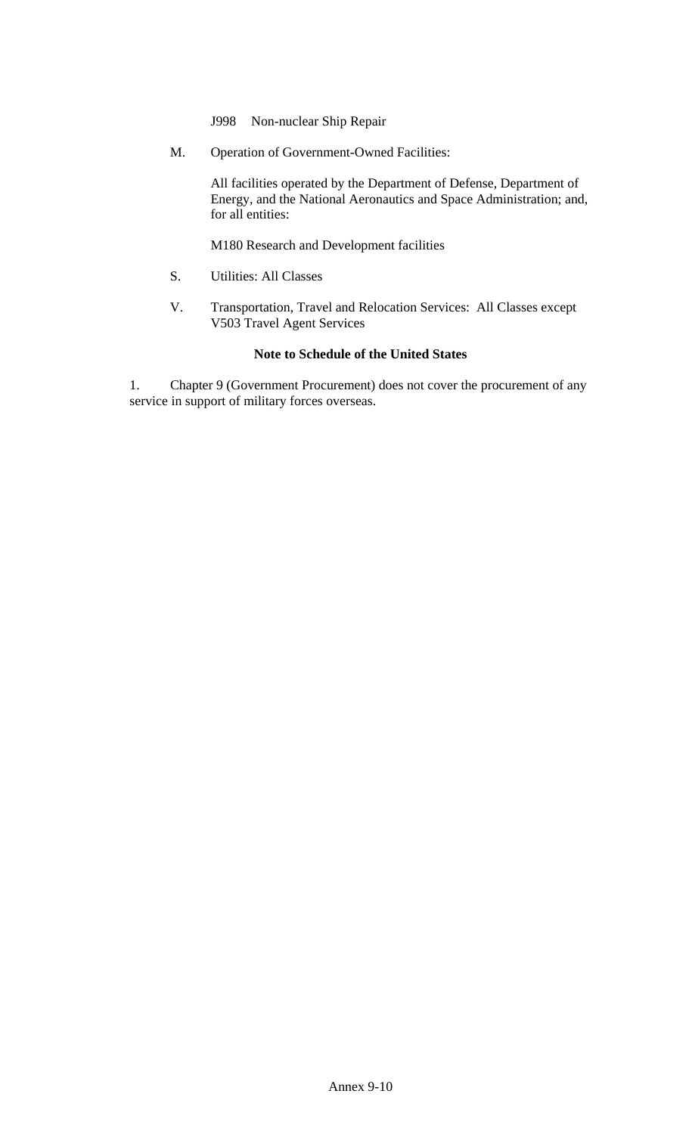- J998 Non-nuclear Ship Repair
- M. Operation of Government-Owned Facilities:

All facilities operated by the Department of Defense, Department of Energy, and the National Aeronautics and Space Administration; and, for all entities:

M180 Research and Development facilities

- S. Utilities: All Classes
- V. Transportation, Travel and Relocation Services: All Classes except V503 Travel Agent Services

## **Note to Schedule of the United States**

1. Chapter 9 (Government Procurement) does not cover the procurement of any service in support of military forces overseas.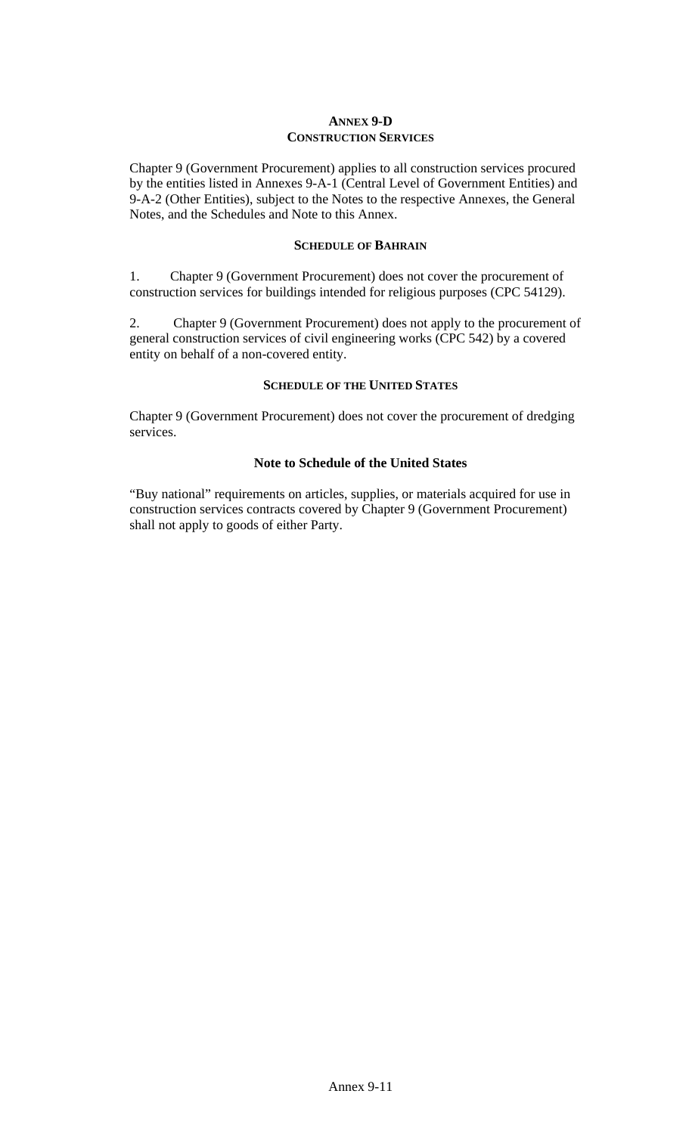### **ANNEX 9-D CONSTRUCTION SERVICES**

Chapter 9 (Government Procurement) applies to all construction services procured by the entities listed in Annexes 9-A-1 (Central Level of Government Entities) and 9-A-2 (Other Entities), subject to the Notes to the respective Annexes, the General Notes, and the Schedules and Note to this Annex.

#### **SCHEDULE OF BAHRAIN**

1. Chapter 9 (Government Procurement) does not cover the procurement of construction services for buildings intended for religious purposes (CPC 54129).

2. Chapter 9 (Government Procurement) does not apply to the procurement of general construction services of civil engineering works (CPC 542) by a covered entity on behalf of a non-covered entity.

### **SCHEDULE OF THE UNITED STATES**

Chapter 9 (Government Procurement) does not cover the procurement of dredging services.

# **Note to Schedule of the United States**

"Buy national" requirements on articles, supplies, or materials acquired for use in construction services contracts covered by Chapter 9 (Government Procurement) shall not apply to goods of either Party.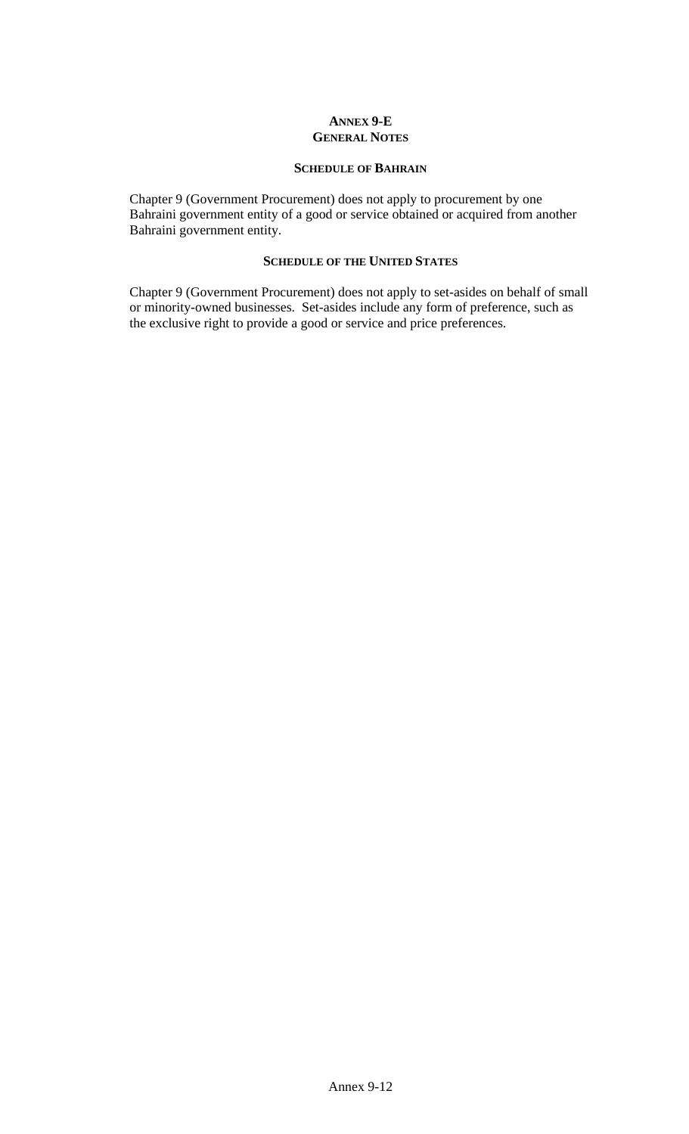### **ANNEX 9-E GENERAL NOTES**

### **SCHEDULE OF BAHRAIN**

Chapter 9 (Government Procurement) does not apply to procurement by one Bahraini government entity of a good or service obtained or acquired from another Bahraini government entity.

### **SCHEDULE OF THE UNITED STATES**

Chapter 9 (Government Procurement) does not apply to set-asides on behalf of small or minority-owned businesses. Set-asides include any form of preference, such as the exclusive right to provide a good or service and price preferences.